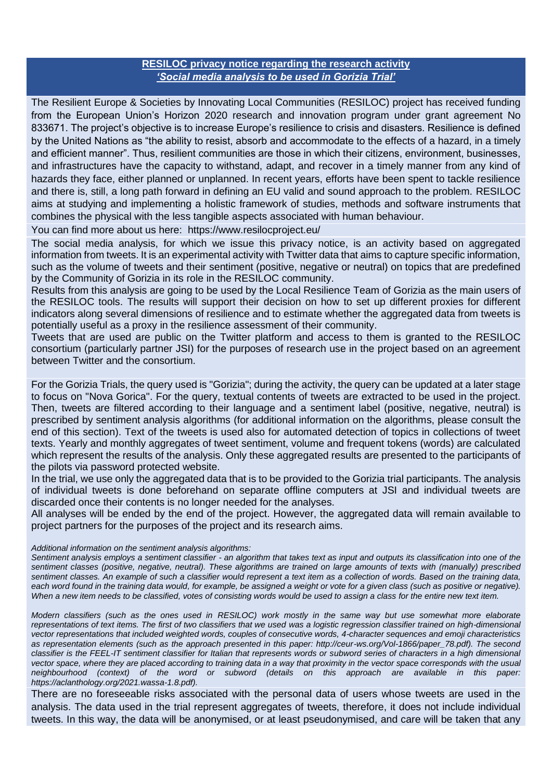## **RESILOC privacy notice regarding the research activity** *'Social media analysis to be used in Gorizia Trial'*

The Resilient Europe & Societies by Innovating Local Communities (RESILOC) project has received funding from the European Union's Horizon 2020 research and innovation program under grant agreement No 833671. The project's objective is to increase Europe's resilience to crisis and disasters. Resilience is defined by the United Nations as "the ability to resist, absorb and accommodate to the effects of a hazard, in a timely and efficient manner". Thus, resilient communities are those in which their citizens, environment, businesses, and infrastructures have the capacity to withstand, adapt, and recover in a timely manner from any kind of hazards they face, either planned or unplanned. In recent years, efforts have been spent to tackle resilience and there is, still, a long path forward in defining an EU valid and sound approach to the problem. RESILOC aims at studying and implementing a holistic framework of studies, methods and software instruments that combines the physical with the less tangible aspects associated with human behaviour.

You can find more about us here: <https://www.resilocproject.eu/>

The social media analysis, for which we issue this privacy notice, is an activity based on aggregated information from tweets. It is an experimental activity with Twitter data that aims to capture specific information, such as the volume of tweets and their sentiment (positive, negative or neutral) on topics that are predefined by the Community of Gorizia in its role in the RESILOC community.

Results from this analysis are going to be used by the Local Resilience Team of Gorizia as the main users of the RESILOC tools. The results will support their decision on how to set up different proxies for different indicators along several dimensions of resilience and to estimate whether the aggregated data from tweets is potentially useful as a proxy in the resilience assessment of their community.

Tweets that are used are public on the Twitter platform and access to them is granted to the RESILOC consortium (particularly partner JSI) for the purposes of research use in the project based on an agreement between Twitter and the consortium.

For the Gorizia Trials, the query used is "Gorizia"; during the activity, the query can be updated at a later stage to focus on "Nova Gorica". For the query, textual contents of tweets are extracted to be used in the project. Then, tweets are filtered according to their language and a sentiment label (positive, negative, neutral) is prescribed by sentiment analysis algorithms (for additional information on the algorithms, please consult the end of this section). Text of the tweets is used also for automated detection of topics in collections of tweet texts. Yearly and monthly aggregates of tweet sentiment, volume and frequent tokens (words) are calculated which represent the results of the analysis. Only these aggregated results are presented to the participants of the pilots via password protected website.

In the trial, we use only the aggregated data that is to be provided to the Gorizia trial participants. The analysis of individual tweets is done beforehand on separate offline computers at JSI and individual tweets are discarded once their contents is no longer needed for the analyses.

All analyses will be ended by the end of the project. However, the aggregated data will remain available to project partners for the purposes of the project and its research aims.

## *Additional information on the sentiment analysis algorithms:*

*Sentiment analysis employs a sentiment classifier - an algorithm that takes text as input and outputs its classification into one of the sentiment classes (positive, negative, neutral). These algorithms are trained on large amounts of texts with (manually) prescribed sentiment classes. An example of such a classifier would represent a text item as a collection of words. Based on the training data, each word found in the training data would, for example, be assigned a weight or vote for a given class (such as positive or negative). When a new item needs to be classified, votes of consisting words would be used to assign a class for the entire new text item.*

*Modern classifiers (such as the ones used in RESILOC) work mostly in the same way but use somewhat more elaborate representations of text items. The first of two classifiers that we used was a logistic regression classifier trained on high-dimensional vector representations that included weighted words, couples of consecutive words, 4-character sequences and emoji characteristics as representation elements (such as the approach presented in this paper: http://ceur-ws.org/Vol-1866/paper\_78.pdf). The second classifier is the FEEL-IT sentiment classifier for Italian that represents words or subword series of characters in a high dimensional vector space, where they are placed according to training data in a way that proximity in the vector space corresponds with the usual neighbourhood (context) of the word or subword (details on this approach are available in this paper: https://aclanthology.org/2021.wassa-1.8.pdf).*

There are no foreseeable risks associated with the personal data of users whose tweets are used in the analysis. The data used in the trial represent aggregates of tweets, therefore, it does not include individual tweets. In this way, the data will be anonymised, or at least pseudonymised, and care will be taken that any